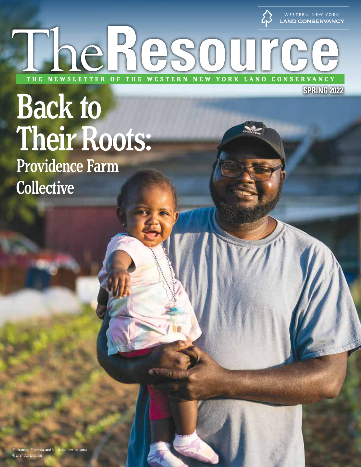

LAND CONSERVANCY

**SPRING 2022**

# Back to Their Roots:

E<sub>R</sub>

hehesour

OF THE WESTERN NEW YORK

Providence Farm **Collective** 

**THE** 

Mahamud Mberwa and his daughter Fatuma *© Brendon Bannon*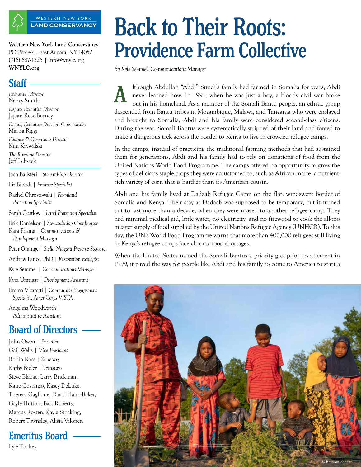

LAND CONSERVANCY WESTERN NEW YORK

PO Box 471, East Aurora, NY 14052 (716) 687-1225 | info@wnylc.org **WNYLC.org**

### Staff -

*Executive Director* Nancy Smith

*Deputy Executive Director* Jajean Rose-Burney

*Deputy Executive Director–Conservation* Marisa Riggi

*Finance & Operations Director* Kim Krywalski

*The Riverline Director* Jeff Lebsack

Josh Balisteri | *Stewardship Director*

Liz Birardi | *Finance Specialist*

Rachel Chrostowski | *Farmland Protection Specialist*

Sarah Costlow | *Land Protection Specialist*

Erik Danielson | *Stewardshiop Coordinator* Kara Frisina | *Communications & Development Manager*

Peter Grainge | *Stella Niagara Preserve Steward*

Andrew Lance, PhD | *Restoration Ecologist*

Kyle Semmel | *Communications Manager*

Kyra Umrigar | *Development Assistant*

Emma Vicaretti | *Community Engagement Specialist, AmeriCorps VISTA*

Angelina Woodworth | *Administrative Assistant*

### Board of Directors

John Owen | *President* Gail Wells | *Vice President* Robin Ross | *Secretary* Kathy Bieler | *Treasurer* Steve Blabac, Larry Brickman, Katie Costanzo, Kasey DeLuke, Theresa Gaglione, David Hahn-Baker, Gayle Hutton, Bart Roberts, Marcus Rosten, Kayla Stocking, Robert Townsley, Alisia Vilonen

Emeritus Board

Lyle Toohey

# Back to Their Roots: Western New York Land Conservancy<br>PO Box 471, East Aurora, NY 14052 **Providence Farm Collective**

*By Kyle Semmel, Communications Manager*

lthough Abdullah "Abdi" Sundi's family had farmed in Somalia for years, Abdi never learned how. In 1991, when he was just a boy, a bloody civil war broke out in his homeland. As a member of the Somali Bantu people, an ethnic group descended from Bantu tribes in Mozambique, Malawi, and Tanzania who were enslaved and brought to Somalia, Abdi and his family were considered second-class citizens. During the war, Somali Bantus were systematically stripped of their land and forced to make a dangerous trek across the border to Kenya to live in crowded refugee camps. A

In the camps, instead of practicing the traditional farming methods that had sustained them for generations, Abdi and his family had to rely on donations of food from the United Nations World Food Programme. The camps offered no opportunity to grow the types of delicious staple crops they were accustomed to, such as African maize, a nutrientrich variety of corn that is hardier than its American cousin.

Abdi and his family lived at Dadaab Refugee Camp on the flat, windswept border of Somalia and Kenya. Their stay at Dadaab was supposed to be temporary, but it turned out to last more than a decade, when they were moved to another refugee camp. They had minimal medical aid, little water, no electricity, and no firewood to cook the all-too meager supply of food supplied by the United Nations Refugee Agency (UNHCR). To this day, the UN's World Food Programme warns that more than 400,000 refugees still living in Kenya's refugee camps face chronic food shortages.

When the United States named the Somali Bantus a priority group for resettlement in 1999, it paved the way for people like Abdi and his family to come to America to start a

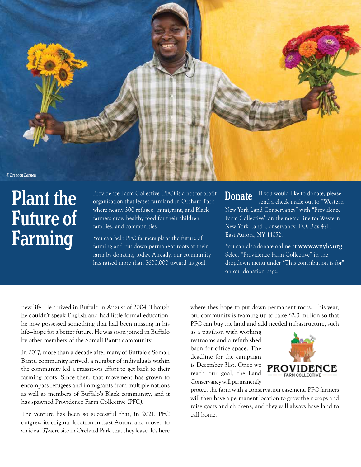

# Plant the Future of Farming

Providence Farm Collective (PFC) is a not-for-profit organization that leases farmland in Orchard Park where nearly 300 refugee, immigrant, and Black farmers grow healthy food for their children, families, and communities.

You can help PFC farmers plant the future of farming and put down permanent roots at their farm by donating today. Already, our community has raised more than \$600,000 toward its goal.

If you would like to donate, please send a check made out to "Western New York Land Conservancy" with "Providence Farm Collective" on the memo line to: Western New York Land Conservancy, P.O. Box 471, East Aurora, NY 14052. **Donate** 

You can also donate online at **www.wnylc.org** Select "Providence Farm Collective" in the dropdown menu under "This contribution is for" on our donation page.

new life. He arrived in Buffalo in August of 2004. Though he couldn't speak English and had little formal education, he now possessed something that had been missing in his life—hope for a better future. He was soon joined in Buffalo by other members of the Somali Bantu community.

In 2017, more than a decade after many of Buffalo's Somali Bantu community arrived, a number of individuals within the community led a grassroots effort to get back to their farming roots. Since then, that movement has grown to encompass refugees and immigrants from multiple nations as well as members of Buffalo's Black community, and it has spawned Providence Farm Collective (PFC).

The venture has been so successful that, in 2021, PFC outgrew its original location in East Aurora and moved to an ideal 37-acre site in Orchard Park that they lease. It's here

where they hope to put down permanent roots. This year, our community is teaming up to raise \$2.3 million so that PFC can buy the land and add needed infrastructure, such

as a pavilion with working restrooms and a refurbished barn for office space. The deadline for the campaign is December 31st. Once we reach our goal, the Land Conservancy will permanently



protect the farm with a conservation easement. PFC farmers will then have a permanent location to grow their crops and raise goats and chickens, and they will always have land to call home.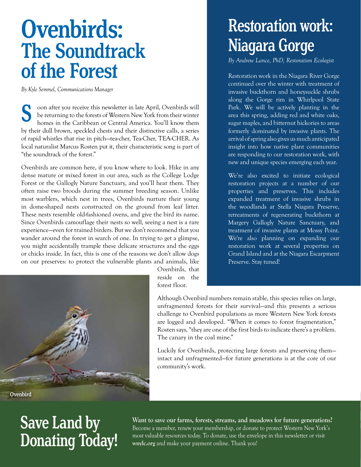# Ovenbirds: The Soundtrack of the Forest

*By Kyle Semmel, Communications Manager*

oon after you receive this newsletter in late April, Ovenbirds will be returning to the forests of Western New York from their winter homes in the Caribbean or Central America. You'll know them by their dull brown, speckled chests and their distinctive calls, a series of rapid whistles that rise in pitch—tea-cher, Tea-Cher, TEA-CHER. As local naturalist Marcus Rosten put it, their characteristic song is part of "the soundtrack of the forest." S

Ovenbirds are common here, if you know where to look. Hike in any dense mature or mixed forest in our area, such as the College Lodge Forest or the Gallogly Nature Sanctuary, and you'll hear them. They often raise two broods during the summer breeding season. Unlike most warblers, which nest in trees, Ovenbirds nurture their young in dome-shaped nests constructed on the ground from leaf litter. These nests resemble old-fashioned ovens, and give the bird its name. Since Ovenbirds camouflage their nests so well, seeing a nest is a rare experience—even for trained birders. But we don't recommend that you wander around the forest in search of one. In trying to get a glimpse, you might accidentally trample these delicate structures and the eggs or chicks inside. In fact, this is one of the reasons we don't allow dogs on our preserves: to protect the vulnerable plants and animals, like



Ovenbirds, that reside on the forest floor.

# Restoration work: Niagara Gorge

*By Andrew Lance, PhD, Restoration Ecologist*

Restoration work in the Niagara River Gorge continued over the winter with treatment of invasive buckthorn and honeysuckle shrubs along the Gorge rim in Whirlpool State Park. We will be actively planting in the area this spring, adding red and white oaks, sugar maples, and bitternut hickories to areas formerly dominated by invasive plants. The arrival of spring also gives us much anticipated insight into how native plant communities are responding to our restoration work, with new and unique species emerging each year.

We're also excited to initiate ecological restoration projects at a number of our properties and preserves. This includes expanded treatment of invasive shrubs in the woodlands at Stella Niagara Preserve, retreatments of regenerating buckthorn at Margery Gallogly Nature Sanctuary, and treatment of invasive plants at Mossy Point. We're also planning on expanding our restoration work at several properties on Grand Island and at the Niagara Escarpment Preserve. Stay tuned!

Although Ovenbird numbers remain stable, this species relies on large, unfragmented forests for their survival—and this presents a serious challenge to Ovenbird populations as more Western New York forests are logged and developed. "When it comes to forest fragmentation," Rosten says, "they are one of the first birds to indicate there's a problem. The canary in the coal mine."

Luckily for Ovenbirds, protecting large forests and preserving them intact and unfragmented—for future generations is at the core of our community's work.

# Save Land by Donating Today!

**Want to save our farms, forests, streams, and meadows for future generations?** Become a member, renew your membership, or donate to protect Western New York's most valuable resources today. To donate, use the envelope in this newsletter or visit **wnylc.org** and make your payment online. Thank you!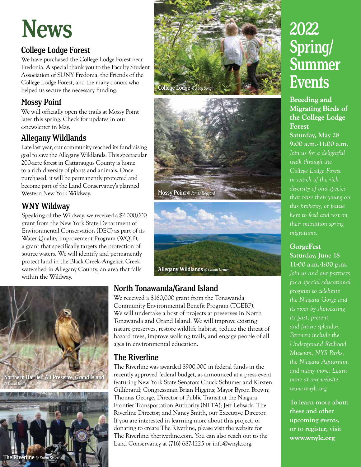# News

### College Lodge Forest

We have purchased the College Lodge Forest near Fredonia. A special thank you to the Faculty Student Association of SUNY Fredonia, the Friends of the College Lodge Forest, and the many donors who helped us secure the necessary funding.

### Mossy Point

We will officially open the trails at Mossy Point later this spring. Check for updates in our e-newsletter in May.

### Allegany Wildlands

Late last year, our community reached its fundraising goal to save the Allegany Wildlands. This spectacular 200-acre forest in Cattaraugus County is home to a rich diversity of plants and animals. Once purchased, it will be permanently protected and become part of the Land Conservancy's planned Western New York Wildway.

### WNY Wildway

Speaking of the Wildway, we received a \$2,000,000 grant from the New York State Department of Environmental Conservation (DEC) as part of its Water Quality Improvement Program (WQIP), a grant that specifically targets the protection of source waters. We will identify and permanently protect land in the Black Creek-Angelica Creek watershed in Allegany County, an area that falls within the Wildway.









### North Tonawanda/Grand Island

We received a \$160,000 grant from the Tonawanda Community Environmental Benefit Program (TCEBP). We will undertake a host of projects at preserves in North Tonawanda and Grand Island. We will improve existing nature preserves, restore wildlife habitat, reduce the threat of hazard trees, improve walking trails, and engage people of all ages in environmental education.

### The Riverline

The Riverline was awarded \$900,000 in federal funds in the recently approved federal budget, as announced at a press event featuring New York State Senators Chuck Schumer and Kirsten Gillibrand; Congressman Brian Higgins; Mayor Byron Brown; Thomas George, Director of Public Transit at the Niagara Frontier Transportation Authority (NFTA); Jeff Lebsack, The Riverline Director; and Nancy Smith, our Executive Director. If you are interested in learning more about this project, or donating to create The Riverline, please visit the website for The Riverline: theriverline.com. You can also reach out to the Land Conservancy at (716) 687-1225 or info@wnylc.org.

## 2022 Spring/ **Summer Events**

#### **Breeding and Migrating Birds of the College Lodge Forest**

**Saturday, May 28 9:00 a.m.-11:00 a.m.** *Join us for a delightful walk through the College Lodge Forest in search of the rich diversity of bird species that raise their young on this property, or pause here to feed and rest on their marathon spring migrations.*

#### **GorgeFest**

**Saturday, June 18 11:00 a.m.-1:00 p.m.**  *Join us and our partners for a special educational program to celebrate the Niagara Gorge and its river by showcasing its past, present, and future splendor. Partners include the Underground Railroad Museum, NYS Parks, the Niagara Aquarium, and many more. Learn more at our website: www.wnylc.org*

**To learn more about these and other upcoming events, or to register, visit www.wnylc.org**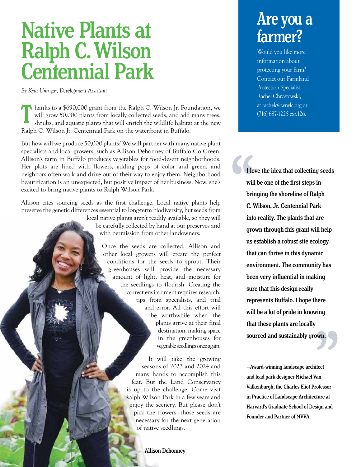# Native Plants at Ralph C. Wilson Centennial Park

*By Kyra Umrigar, Development Assistant*

**T** hanks to a \$690,000 grant from the Ralph C. Wilson Jr. Foundation, we will grow 50,000 plants from locally collected seeds, and add many trees, shrubs, and aquatic plants that will enrich the wildlife habitat at the new Ralph C. Wilson Jr. Centennial Park on the waterfront in Buffalo.

But how will we produce 50,000 plants? We will partner with many native plant specialists and local growers, such as Allison Dehonney of Buffalo Go Green. Allison's farm in Buffalo produces vegetables for food-desert neighborhoods. Her plots are lined with flowers, adding pops of color and green, and neighbors often walk and drive out of their way to enjoy them. Neighborhood beautification is an unexpected, but positive impact of her business. Now, she's excited to bring native plants to Ralph Wilson Park.

Allison cites sourcing seeds as the first challenge. Local native plants help preserve the genetic differences essential to long-term biodiversity, but seeds from local native plants aren't readily available, so they will be carefully collected by hand at our preserves and with permission from other landowners. Once the seeds are collected, Allison and other local growers will create the perfect

conditions for the seeds to sprout. Their greenhouses will provide the necessary amount of light, heat, and moisture for the seedlings to flourish. Creating the correct environment requires research, tips from specialists, and trial and error. All this effort will be worthwhile when the plants arrive at their final destination, making space in the greenhouses for vegetable seedlings once again.

> It will take the growing seasons of 2023 and 2024 and many hands to accomplish this feat. But the Land Conservancy is up to the challenge. Come visit Ralph Wilson Park in a few years and enjoy the scenery. But please don't pick the flowers—those seeds are necessary for the next generation of native seedlings.

#### Allison Dehonney

### Are you a farmer?

Would you like more information about protecting your farm? Contact our Farmland Protection Specialist, Rachel Chrostowski, at rachelc@wnylc.org or (716) 687-1225 ext.126.

I lovelle tere<br>ing<br>wn. I love the idea that collecting seeds will be one of the first steps in bringing the shoreline of Ralph C. Wilson, Jr. Centennial Park into reality. The plants that are grown through this grant will help us establish a robust site ecology that can thrive in this dynamic environment. The community has been very influential in making sure that this design really represents Buffalo. I hope there will be a lot of pride in knowing that these plants are locally sourced and sustainably grown.

> —Award-winning landscape architect and lead park designer Michael Van Valkenburgh, the Charles Eliot Professor in Practice of Landscape Architecture at Harvard's Graduate School of Design and Founder and Partner of MVVA.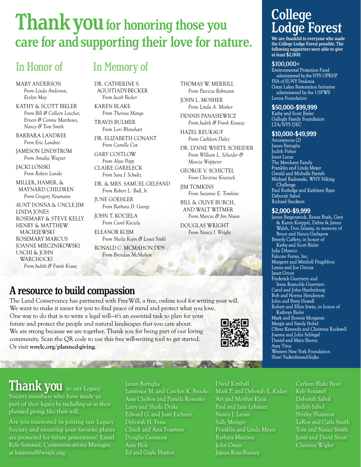# Thank you for honoring those you care for and supporting their love for nature.

MARY ANDERSON *From Linda Anderson, Evelyn May*

KATHY & SCOTT BIELER *From Bill & Colleen Loecher, Ernest & Connie Matthews, Nancy & Tom Smith*

BARBARA LANDREE *From Eric Landree*

JAMESON LINDSTROM *From Amalia Wagner*

JACKI LONSKI *From Robert Lonski*

MILLER, HAMER, & MAYNARD CHILDREN *From Gregory Neumann*

AUNT DONNA & UNCLE JIM LINDA JONES ROSEMARY & STEVE KELLY HENRY & MATTHEW **MACIEIEWSKI** ROSEMARY MARCUS JOANNE MIECZNIKOWSKI USCHI & JOHN WARCHOCKI *From Judith & Frank Krauz*

### In Honor of In Memory of

DR. CATHERINE S. AGUSTIADY-BECKER *From Jacob Becker*

KAREN BLAKE *From Theresa Mango*

TRAVIS BULMER *From Lori Rhinehart* 

DR. ELIZABETH CONANT *From Camille Cox*

GARY COSTLOW *From Alyse Popp* CLAIRE GARELECK *From Sara J. Schultz*

DR. & MRS. SAMUEL GELFAND *From Robert L. Bull, Jr.*

JUNE GOEHLER *From Barbara D. George*

JOHN T. KOCIELA *From Carol Kociela*

ELEANOR KOJM *From Sheila Kojm & Louis Stuhl*

RONALD C. MCMAHON DDS *From Brendan McMahon*

THOMAS W. MERRILL *From Patricia Rebmann*

JOHN L. MOSHER *From Linda A. Mosher*

DENNIS PANASIEWICZ *From Judith & Frank Krauza*

HAZEL REUKAUF *From Cathleen Daley*

DR. LYNNE WHITE SCHEIDER *From William L. Scheider & Marcia Wopperer*

GEORGE V. SCHICTEL *From Christine Kroetsch*

JIM TOMKINS *From Suzanne E. Tomkins*

BILL & OLIVE BURCH, AND WALT WITMER

*From Marcia & Jim Nixon* DOUGLAS WRIGHT *From Nancy J. Wright*

College Lodge Forest

We are thankful to everyone who made the College Lodge Forest possible. The following supporters were able to give at least \$2,000.

#### \$100,000+

Environmental Protection Fund administered by the NYS OPRHP FSA of SUNY Fredonia Great Lakes Restoration Initiative administered by the USFWS Lenna Foundation

#### \$50,000-\$99,999

Kathy and Scott Bieler Gallogly Family Foundation LTA/NYS DEC

#### \$10,000-\$49,999

Anonymous (2) James Battaglia Judith Fisher Janet Lanza The Merchant Family Franklin and Linda Meyer Gerald and Michelle Parris Michael Radomski, WNY Hiking Challenge Paul Rutledge and Kathleen Ryan Deborah Sabol Richard Stockton

#### \$2,000-\$9,999

James Bergenstock, Renee Bush, Gary & Karen Koeppel, Debra & James Walsh, Don Zelazny, in memory of Bruce and Nancy Garlapow Beverly Caffery, in honor of Kathy and Scott Bieler Julia DAmico Falcone Farms, Inc. Margaret and Mitchell Fitzgibbon Lynne and Joe Giroux Janet Grout Frederick Guerriero and Irene Reynolds Guerriero Carol and John Hardenburg Bob and Norma Henderson John and Betty Howell Robert and Ellen Irwin, in honor of Kathryn Bieler Mark and Bonnie Morgante Margie and Sandy Nobel Oliver Kennedy and Christina Rockwell Joanne and John Schlegel Daniel and Mary Shonn Amy Titus Western New York Foundation Shari Yudenfreund-Sujka

### A resource to build compassion

The Land Conservancy has partnered with FreeWill, a free, online tool for writing your will. We want to make it easier for you to find peace of mind and protect what you love. One way to do that is to write a legal will—it's an essential task to plan for your future and protect the people and natural landscapes that you care about. We are strong because we are together. Thank you for being part of our loving community. Scan the QR code to use this free will-writing tool to get started. Or visit **wnylc.org/planned-giving**.

The the support of the same



Thank you to our Legacy

Society members who have made us part of *their* legacy by including us in their planned giving, like their will.

Are you interested in joining our Legacy Society and ensuring your favorite places are protected for future generations? Email Kyle Semmel, Communications Manager, at ksemmel@wnylc.org.

#### James Battaglia Lawrence M. and Carolyn K. Brooks Amy Choboy and Pamela Rossotto Larry and Sheila Drake Edward G. and Joan Eschner Deborah H. Fenn Chuck and Ann Fourtner Douglas Germony Amy Holt Ed and Gayle Hutton

#### David Kimball

Mark P. and Deborah E. Kisker Art and Marilyn Klein Paul and Jane Lehman Nancy J. Leone Sally Metzger Franklin and Linda Meyer Barbara Mierzwa John Owen Jajean Rose-Burney

#### Carleen Blake Ryan

Kyle Semmel Deborah Sabol Judith Sabol Shirley Shannon LeRoy and Carla Smith Tom and Nancy Smith Janet and David Stout Clarence Wigler